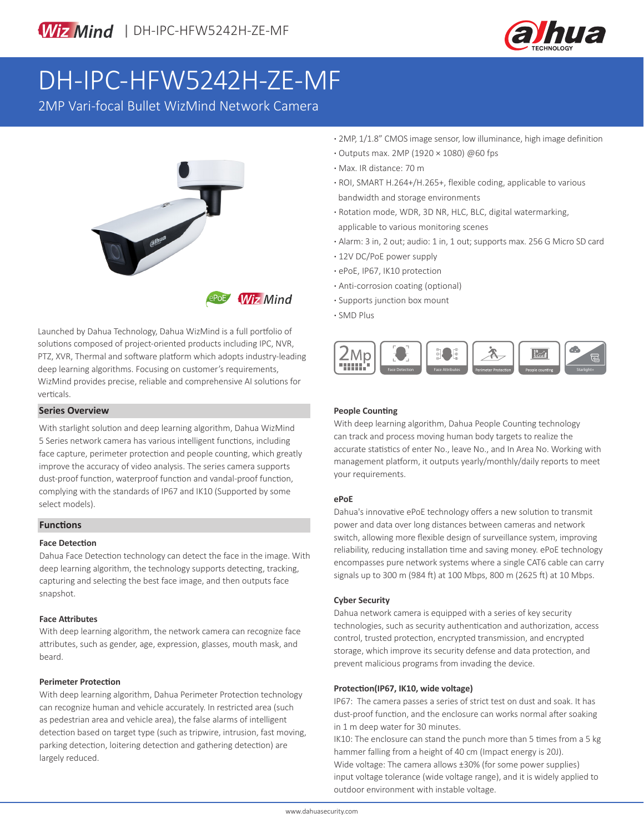



# DH-IPC-HFW5242H-ZE-MF

2MP Vari-focal Bullet WizMind Network Camera



Launched by Dahua Technology, Dahua WizMind is a full portfolio of solutions composed of project-oriented products including IPC, NVR, PTZ, XVR, Thermal and software platform which adopts industry-leading deep learning algorithms. Focusing on customer's requirements, WizMind provides precise, reliable and comprehensive AI solutions for verticals.

#### **Series Overview**

With starlight solution and deep learning algorithm, Dahua WizMind 5 Series network camera has various intelligent functions, including face capture, perimeter protection and people counting, which greatly improve the accuracy of video analysis. The series camera supports dust-proof function, waterproof function and vandal-proof function, complying with the standards of IP67 and IK10 (Supported by some select models).

#### **Functions**

#### **Face Detection**

Dahua Face Detection technology can detect the face in the image. With deep learning algorithm, the technology supports detecting, tracking, capturing and selecting the best face image, and then outputs face snapshot.

#### **Face Attributes**

With deep learning algorithm, the network camera can recognize face attributes, such as gender, age, expression, glasses, mouth mask, and beard.

#### **Perimeter Protection**

With deep learning algorithm, Dahua Perimeter Protection technology can recognize human and vehicle accurately. In restricted area (such as pedestrian area and vehicle area), the false alarms of intelligent detection based on target type (such as tripwire, intrusion, fast moving, parking detection, loitering detection and gathering detection) are largely reduced.

- **·** 2MP, 1/1.8" CMOS image sensor, low illuminance, high image definition
- **·** Outputs max. 2MP (1920 × 1080) @60 fps
- **·** Max. IR distance: 70 m
- **·** ROI, SMART H.264+/H.265+, flexible coding, applicable to various bandwidth and storage environments
- **·** Rotation mode, WDR, 3D NR, HLC, BLC, digital watermarking, applicable to various monitoring scenes
- **·** Alarm: 3 in, 2 out; audio: 1 in, 1 out; supports max. 256 G Micro SD card
- **·** 12V DC/PoE power supply
- **·** ePoE, IP67, IK10 protection
- **·** Anti-corrosion coating (optional)
- **·** Supports junction box mount
- **·** SMD Plus



#### **People Counting**

With deep learning algorithm, Dahua People Counting technology can track and process moving human body targets to realize the accurate statistics of enter No., leave No., and In Area No. Working with management platform, it outputs yearly/monthly/daily reports to meet your requirements.

#### **ePoE**

Dahua's innovative ePoE technology offers a new solution to transmit power and data over long distances between cameras and network switch, allowing more flexible design of surveillance system, improving reliability, reducing installation time and saving money. ePoE technology encompasses pure network systems where a single CAT6 cable can carry signals up to 300 m (984 ft) at 100 Mbps, 800 m (2625 ft) at 10 Mbps.

#### **Cyber Security**

Dahua network camera is equipped with a series of key security technologies, such as security authentication and authorization, access control, trusted protection, encrypted transmission, and encrypted storage, which improve its security defense and data protection, and prevent malicious programs from invading the device.

#### **Protection(IP67, IK10, wide voltage)**

IP67: The camera passes a series of strict test on dust and soak. It has dust-proof function, and the enclosure can works normal after soaking in 1 m deep water for 30 minutes.

IK10: The enclosure can stand the punch more than 5 times from a 5 kg hammer falling from a height of 40 cm (Impact energy is 20J). Wide voltage: The camera allows ±30% (for some power supplies) input voltage tolerance (wide voltage range), and it is widely applied to outdoor environment with instable voltage.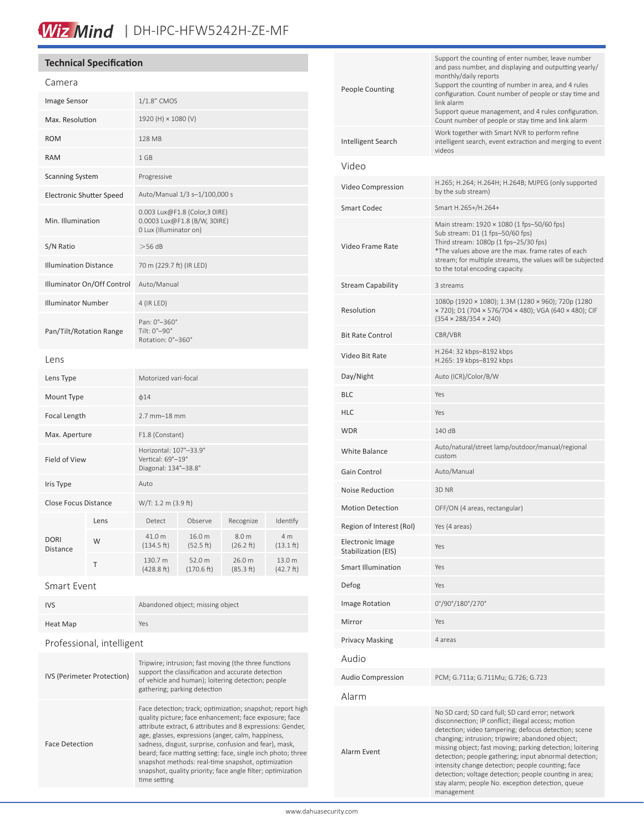# Wiz Mind | DH-IPC-HFW5242H-ZE-MF

# **Technical Specification**

| Camera                          |      |                                                                                         |                         |                     |                               |  |
|---------------------------------|------|-----------------------------------------------------------------------------------------|-------------------------|---------------------|-------------------------------|--|
| Image Sensor                    |      | 1/1.8" CMOS                                                                             |                         |                     |                               |  |
| Max. Resolution                 |      | 1920 (H) × 1080 (V)                                                                     |                         |                     |                               |  |
| <b>ROM</b>                      |      |                                                                                         | 128 MB                  |                     |                               |  |
| <b>RAM</b>                      |      | 1 GB                                                                                    |                         |                     |                               |  |
| <b>Scanning System</b>          |      | Progressive                                                                             |                         |                     |                               |  |
| <b>Electronic Shutter Speed</b> |      | Auto/Manual 1/3 s-1/100,000 s                                                           |                         |                     |                               |  |
| Min. Illumination               |      | 0.003 Lux@F1.8 (Color,3 OIRE)<br>0.0003 Lux@F1.8 (B/W, 30IRE)<br>0 Lux (Illuminator on) |                         |                     |                               |  |
| S/N Ratio                       |      | >56 dB                                                                                  |                         |                     |                               |  |
| <b>Illumination Distance</b>    |      | 70 m (229.7 ft) (IR LED)                                                                |                         |                     |                               |  |
| Illuminator On/Off Control      |      | Auto/Manual                                                                             |                         |                     |                               |  |
| <b>Illuminator Number</b>       |      | 4 (IR LED)                                                                              |                         |                     |                               |  |
| Pan/Tilt/Rotation Range         |      | Pan: 0°-360°<br>Tilt: 0°-90°<br>Rotation: 0°-360°                                       |                         |                     |                               |  |
| Lens                            |      |                                                                                         |                         |                     |                               |  |
| Lens Type                       |      | Motorized vari-focal                                                                    |                         |                     |                               |  |
| Mount Type                      |      | $\phi$ 14                                                                               |                         |                     |                               |  |
| Focal Length                    |      | $2.7$ mm $-18$ mm                                                                       |                         |                     |                               |  |
| Max. Aperture                   |      | F1.8 (Constant)                                                                         |                         |                     |                               |  |
| Field of View                   |      | Horizontal: 107°-33.9°<br>Vertical: 69°-19°<br>Diagonal: 134°-38.8°                     |                         |                     |                               |  |
| Iris Type                       |      | Auto                                                                                    |                         |                     |                               |  |
| <b>Close Focus Distance</b>     |      | W/T: 1.2 m (3.9 ft)                                                                     |                         |                     |                               |  |
| <b>DORI</b><br><b>Distance</b>  | Lens | Detect                                                                                  | Observe                 | Recognize           | Identify                      |  |
|                                 | W    | 41.0 m<br>(134.5 ft)                                                                    | 16.0 m<br>(52.5 ft)     | 8.0 m<br>(26.2 ft)  | 4 m<br>$(13.1 \text{ ft})$    |  |
|                                 | Τ    | 130.7 m<br>$(428.8 \text{ ft})$                                                         | 52.0 m<br>$(170.6)$ ft) | 26.0 m<br>(85.3 ft) | 13.0 m<br>$(42.7 \text{ ft})$ |  |
| Smart Event                     |      |                                                                                         |                         |                     |                               |  |

| <b>JUIGLL LVEIIL</b> |  |  |
|----------------------|--|--|
|                      |  |  |

| <b>IVS</b> | Abandoned object; missing object |
|------------|----------------------------------|
| Heat Map   | Yes                              |

# Professional, intelligent

| IVS (Perimeter Protection) | Tripwire; intrusion; fast moving (the three functions<br>support the classification and accurate detection<br>of vehicle and human); loitering detection; people<br>gathering; parking detection                                                                                                                                                                                                                                                                                                       |
|----------------------------|--------------------------------------------------------------------------------------------------------------------------------------------------------------------------------------------------------------------------------------------------------------------------------------------------------------------------------------------------------------------------------------------------------------------------------------------------------------------------------------------------------|
| <b>Face Detection</b>      | Face detection; track; optimization; snapshot; report high<br>quality picture; face enhancement; face exposure; face<br>attribute extract, 6 attributes and 8 expressions: Gender,<br>age, glasses, expressions (anger, calm, happiness,<br>sadness, disgust, surprise, confusion and fear), mask,<br>beard; face matting setting: face, single inch photo; three<br>snapshot methods: real-time snapshot, optimization<br>snapshot, quality priority; face angle filter; optimization<br>time setting |

| <b>People Counting</b>                  | Support the counting of enter number, leave number<br>and pass number, and displaying and outputting yearly/<br>monthly/daily reports<br>Support the counting of number in area, and 4 rules<br>configuration. Count number of people or stay time and<br>link alarm<br>Support queue management, and 4 rules configuration.<br>Count number of people or stay time and link alarm                                                                                                                                          |
|-----------------------------------------|-----------------------------------------------------------------------------------------------------------------------------------------------------------------------------------------------------------------------------------------------------------------------------------------------------------------------------------------------------------------------------------------------------------------------------------------------------------------------------------------------------------------------------|
| Intelligent Search                      | Work together with Smart NVR to perform refine<br>intelligent search, event extraction and merging to event<br>videos                                                                                                                                                                                                                                                                                                                                                                                                       |
| Video                                   |                                                                                                                                                                                                                                                                                                                                                                                                                                                                                                                             |
| Video Compression                       | H.265; H.264; H.264H; H.264B; MJPEG (only supported<br>by the sub stream)                                                                                                                                                                                                                                                                                                                                                                                                                                                   |
| <b>Smart Codec</b>                      | Smart H.265+/H.264+                                                                                                                                                                                                                                                                                                                                                                                                                                                                                                         |
| Video Frame Rate                        | Main stream: 1920 × 1080 (1 fps-50/60 fps)<br>Sub stream: D1 (1 fps-50/60 fps)<br>Third stream: 1080p (1 fps-25/30 fps)<br>*The values above are the max. frame rates of each<br>stream; for multiple streams, the values will be subjected<br>to the total encoding capacity.                                                                                                                                                                                                                                              |
| <b>Stream Capability</b>                | 3 streams                                                                                                                                                                                                                                                                                                                                                                                                                                                                                                                   |
| Resolution                              | 1080p (1920 × 1080); 1.3M (1280 × 960); 720p (1280<br>x 720); D1 (704 x 576/704 x 480); VGA (640 x 480); CIF<br>$(354 \times 288/354 \times 240)$                                                                                                                                                                                                                                                                                                                                                                           |
| <b>Bit Rate Control</b>                 | CBR/VBR                                                                                                                                                                                                                                                                                                                                                                                                                                                                                                                     |
| Video Bit Rate                          | H.264: 32 kbps-8192 kbps<br>H.265: 19 kbps-8192 kbps                                                                                                                                                                                                                                                                                                                                                                                                                                                                        |
| Day/Night                               | Auto (ICR)/Color/B/W                                                                                                                                                                                                                                                                                                                                                                                                                                                                                                        |
| BLC                                     | Yes                                                                                                                                                                                                                                                                                                                                                                                                                                                                                                                         |
| HLC                                     | Yes                                                                                                                                                                                                                                                                                                                                                                                                                                                                                                                         |
| WDR                                     | 140 dB                                                                                                                                                                                                                                                                                                                                                                                                                                                                                                                      |
| White Balance                           | Auto/natural/street lamp/outdoor/manual/regional<br>custom                                                                                                                                                                                                                                                                                                                                                                                                                                                                  |
| Gain Control                            | Auto/Manual                                                                                                                                                                                                                                                                                                                                                                                                                                                                                                                 |
| Noise Reduction                         | 3D NR                                                                                                                                                                                                                                                                                                                                                                                                                                                                                                                       |
| <b>Motion Detection</b>                 | OFF/ON (4 areas, rectangular)                                                                                                                                                                                                                                                                                                                                                                                                                                                                                               |
| Region of Interest (RoI)                | Yes (4 areas)                                                                                                                                                                                                                                                                                                                                                                                                                                                                                                               |
| Electronic Image<br>Stabilization (EIS) | Yes                                                                                                                                                                                                                                                                                                                                                                                                                                                                                                                         |
| <b>Smart Illumination</b>               | Yes                                                                                                                                                                                                                                                                                                                                                                                                                                                                                                                         |
| Defog                                   | Yes                                                                                                                                                                                                                                                                                                                                                                                                                                                                                                                         |
| Image Rotation                          | 0°/90°/180°/270°                                                                                                                                                                                                                                                                                                                                                                                                                                                                                                            |
| Mirror                                  | Yes                                                                                                                                                                                                                                                                                                                                                                                                                                                                                                                         |
| <b>Privacy Masking</b>                  | 4 areas                                                                                                                                                                                                                                                                                                                                                                                                                                                                                                                     |
| Audio                                   |                                                                                                                                                                                                                                                                                                                                                                                                                                                                                                                             |
| Audio Compression                       | PCM; G.711a; G.711Mu; G.726; G.723                                                                                                                                                                                                                                                                                                                                                                                                                                                                                          |
| Alarm                                   |                                                                                                                                                                                                                                                                                                                                                                                                                                                                                                                             |
| Alarm Event                             | No SD card; SD card full; SD card error; network<br>disconnection; IP conflict; illegal access; motion<br>detection; video tampering; defocus detection; scene<br>changing; intrusion; tripwire; abandoned object;<br>missing object; fast moving; parking detection; loitering<br>detection; people gathering; input abnormal detection;<br>intensity change detection; people counting; face<br>detection; voltage detection; people counting in area;<br>stay alarm; people No. exception detection, queue<br>management |